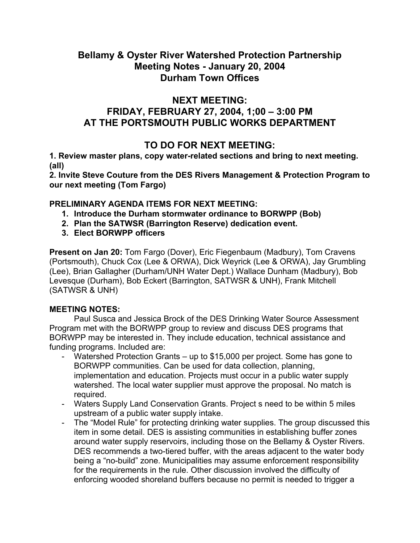# **Bellamy & Oyster River Watershed Protection Partnership Meeting Notes - January 20, 2004 Durham Town Offices**

### **NEXT MEETING:**

# **FRIDAY, FEBRUARY 27, 2004, 1;00 – 3:00 PM AT THE PORTSMOUTH PUBLIC WORKS DEPARTMENT**

## **TO DO FOR NEXT MEETING:**

**1. Review master plans, copy water-related sections and bring to next meeting. (all)** 

**2. Invite Steve Couture from the DES Rivers Management & Protection Program to our next meeting (Tom Fargo)** 

#### **PRELIMINARY AGENDA ITEMS FOR NEXT MEETING:**

- **1. Introduce the Durham stormwater ordinance to BORWPP (Bob)**
- **2. Plan the SATWSR (Barrington Reserve) dedication event.**
- **3. Elect BORWPP officers**

**Present on Jan 20:** Tom Fargo (Dover), Eric Fiegenbaum (Madbury), Tom Cravens (Portsmouth), Chuck Cox (Lee & ORWA), Dick Weyrick (Lee & ORWA), Jay Grumbling (Lee), Brian Gallagher (Durham/UNH Water Dept.) Wallace Dunham (Madbury), Bob Levesque (Durham), Bob Eckert (Barrington, SATWSR & UNH), Frank Mitchell (SATWSR & UNH)

#### **MEETING NOTES:**

 Paul Susca and Jessica Brock of the DES Drinking Water Source Assessment Program met with the BORWPP group to review and discuss DES programs that BORWPP may be interested in. They include education, technical assistance and funding programs. Included are:

- Watershed Protection Grants up to \$15,000 per project. Some has gone to BORWPP communities. Can be used for data collection, planning, implementation and education. Projects must occur in a public water supply watershed. The local water supplier must approve the proposal. No match is required.
- Waters Supply Land Conservation Grants. Project s need to be within 5 miles upstream of a public water supply intake.
- The "Model Rule" for protecting drinking water supplies. The group discussed this item in some detail. DES is assisting communities in establishing buffer zones around water supply reservoirs, including those on the Bellamy & Oyster Rivers. DES recommends a two-tiered buffer, with the areas adjacent to the water body being a "no-build" zone. Municipalities may assume enforcement responsibility for the requirements in the rule. Other discussion involved the difficulty of enforcing wooded shoreland buffers because no permit is needed to trigger a